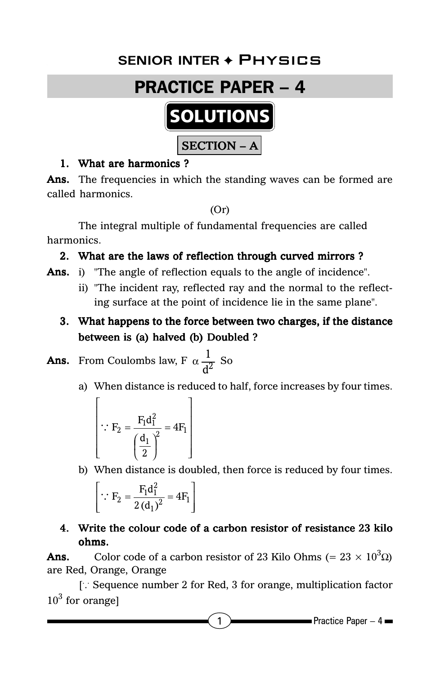# **Senior Inter** ✦ Physics **SENIOR INTER** ✦ Physics



#### 1. What are harmonics ?

Ans. The frequencies in which the standing waves can be formed are called harmonics.

(Or)

The integral multiple of fundamental frequencies are called harmonics.

## 2. What are the laws of reflection through curved mirrors ?

- Ans. i) "The angle of reflection equals to the angle of incidence".
	- ii) "The incident ray, reflected ray and the normal to the reflecting surface at the point of incidence lie in the same plane".
	- 3. What happens to the force between two charges, if the distance between is (a) halved (b) Doubled ?

**Ans.** From Coulombs law, F  $\alpha \frac{1}{d^2}$  So

a) When distance is reduced to half, force increases by four times.

$$
\therefore F_2 = \frac{F_1 d_1^2}{\left(\frac{d_1}{2}\right)^2} = 4F_1
$$

b) When distance is doubled, then force is reduced by four times.

$$
\left[\because F_2 = \frac{F_1 d_1^2}{2 (d_1)^2} = 4F_1\right]
$$

## 4. Write the colour code of a carbon resistor of resistance 23 kilo ohms.

**Ans.** Color code of a carbon resistor of 23 Kilo Ohms (=  $23 \times 10^3 \Omega$ ) are Red, Orange, Orange

[: Sequence number 2 for Red, 3 for orange, multiplication factor  $10<sup>3</sup>$  for orange]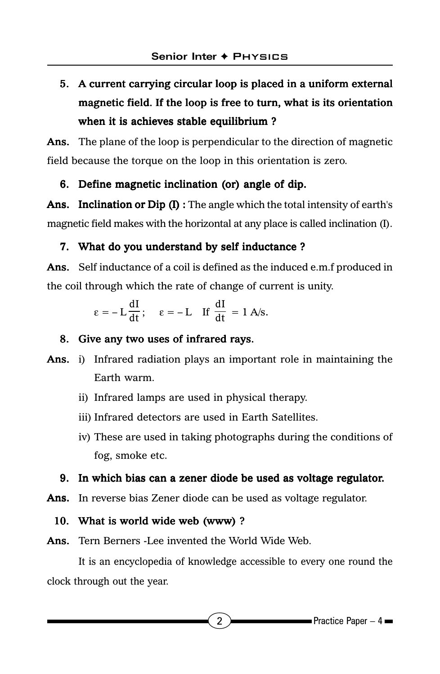# 5. A current carrying circular loop is placed in a uniform external magnetic field. If the loop is free to turn, what is its orientation when it is achieves stable equilibrium ?

Ans. The plane of the loop is perpendicular to the direction of magnetic field because the torque on the loop in this orientation is zero.

## 6. Define magnetic inclination (or) angle of dip.

Ans. Inclination or Dip  $(I)$ : The angle which the total intensity of earth's magnetic field makes with the horizontal at any place is called inclination (I).

#### 7. What do you understand by self inductance ?

Ans. Self inductance of a coil is defined as the induced e.m.f produced in the coil through which the rate of change of current is unity.

$$
\epsilon=-\,L\,\frac{dI}{dt}\,;\quad \ \epsilon=-\,L\quad \text{If }\frac{dI}{dt}\,=\,1\text{ A/s}.
$$

#### 8. Give any two uses of infrared rays.

- Ans. i) Infrared radiation plays an important role in maintaining the Earth warm.
	- ii) Infrared lamps are used in physical therapy.
	- iii) Infrared detectors are used in Earth Satellites.
	- iv) These are used in taking photographs during the conditions of fog, smoke etc.

#### 9. In which bias can a zener diode be used as voltage regulator.

Ans. In reverse bias Zener diode can be used as voltage regulator.

#### 10. What is world wide web (www) ?

Ans. Tern Berners -Lee invented the World Wide Web.

It is an encyclopedia of knowledge accessible to every one round the clock through out the year.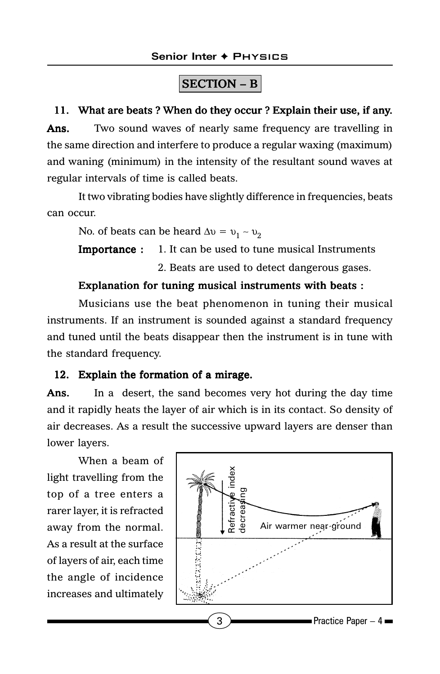# $|\text{SECTION} - \text{B}|$

#### 11. What are beats ? When do they occur ? Explain their use, if any.

Ans. Two sound waves of nearly same frequency are travelling in the same direction and interfere to produce a regular waxing (maximum) and waning (minimum) in the intensity of the resultant sound waves at regular intervals of time is called beats.

It two vibrating bodies have slightly difference in frequencies, beats can occur.

No. of beats can be heard  $\Delta v = v_1 - v_2$ 

**Importance :** 1. It can be used to tune musical Instruments

2. Beats are used to detect dangerous gases.

#### Explanation for tuning musical instruments with beats :

Musicians use the beat phenomenon in tuning their musical instruments. If an instrument is sounded against a standard frequency and tuned until the beats disappear then the instrument is in tune with the standard frequency.

## 12. Explain the formation of a mirage.

Ans. In a desert, the sand becomes very hot during the day time and it rapidly heats the layer of air which is in its contact. So density of air decreases. As a result the successive upward layers are denser than lower layers.

When a beam of light travelling from the top of a tree enters a rarer layer, it is refracted away from the normal. As a result at the surface of layers of air, each time the angle of incidence increases and ultimately

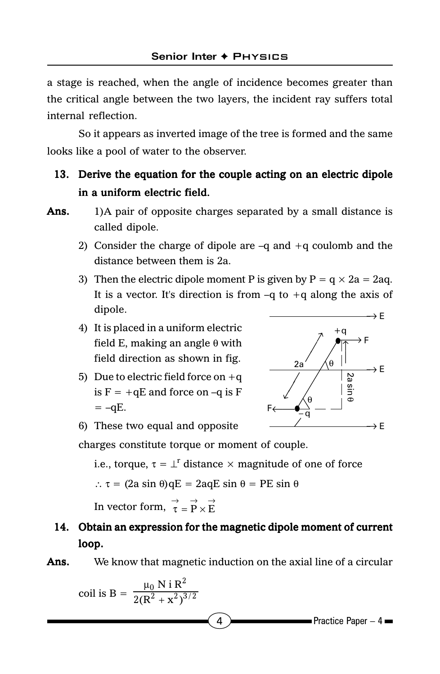a stage is reached, when the angle of incidence becomes greater than the critical angle between the two layers, the incident ray suffers total internal reflection.

So it appears as inverted image of the tree is formed and the same looks like a pool of water to the observer.

## 13. Derive the equation for the couple acting on an electric dipole in a uniform electric field.

- Ans. 1)A pair of opposite charges separated by a small distance is called dipole.
	- 2) Consider the charge of dipole are  $-q$  and  $+q$  coulomb and the distance between them is 2a.
	- 3) Then the electric dipole moment P is given by  $P = q \times 2a = 2aq$ . It is a vector. It's direction is from  $-q$  to  $+q$  along the axis of dipole.
	- 4) It is placed in a uniform electric field E, making an angle  $\theta$  with field direction as shown in fig.
	- 5) Due to electric field force on  $+q$ is  $F = +qE$  and force on  $-q$  is F  $=-qE$ .



6) These two equal and opposite

charges constitute torque or moment of couple.

i.e., torque,  $\tau = \perp^r$  distance  $\times$  magnitude of one of force

$$
\therefore \tau = (2a \sin \theta) qE = 2aqE \sin \theta = PE \sin \theta
$$

In vector form,  $\vec{\tau} = \vec{P} \times \vec{E}$ 

## 14. Obtain an expression for the magnetic dipole moment of current loop.

#### Ans. We know that magnetic induction on the axial line of a circular

$$
coil is B = \frac{\mu_0 N i R^2}{2(R^2 + x^2)^{3/2}}
$$

 $\overline{4}$  Practice Paper – 4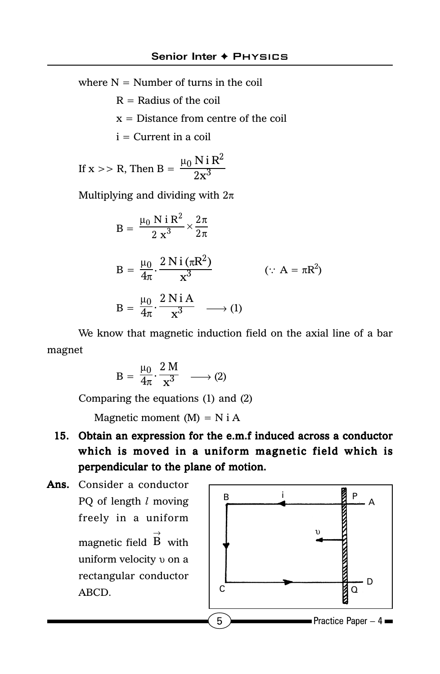where  $N =$  Number of turns in the coil

 $R =$  Radius of the coil

 $x =$  Distance from centre of the coil

 $i =$  Current in a coil

If x >> R, Then B = 
$$
\frac{\mu_0 N i R^2}{2x^3}
$$

Multiplying and dividing with  $2\pi$ 

 $B = \frac{\mu_0 N i R^2}{2 x^3} \times \frac{2\pi}{2\pi}$  $\frac{0}{2}$  N i R<sup>2</sup> N i R<sup>2</sup>  $\,$ , 2  $2 \times^3$  2  $B = \frac{\mu_0}{4\pi} \cdot \frac{2 N i (\pi)}{x^3}$  $\frac{0}{\pi}$ .  $\frac{2 \text{ N i } (\pi \text{R}^2)}{x^3}$  $\frac{\mu_0}{4\pi} \cdot \frac{2 \text{ Ni} (\pi R^2)}{x^3}$  (: A =  $\pi R^2$  $\cdots A = \pi R^2$  $B = \frac{\mu_0}{4\pi}$  $\frac{0}{\pi}$ .  $\frac{2 \text{ N}}{\text{V}^3}$  $\frac{\mu_0}{4\pi} \cdot \frac{2 \text{ N i A}}{\text{x}^3} \longrightarrow (1)$ 

We know that magnetic induction field on the axial line of a bar magnet

$$
B = \frac{\mu_0}{4\pi} \cdot \frac{2 M}{x^3} \longrightarrow (2)
$$

Comparing the equations (1) and (2)

Magnetic moment  $(M) = N i A$ 

- 15. Obtain an expression for the e.m.f induced across a conductor which is moved in a uniform magnetic field which is perpendicular to the plane of motion.
- Ans. Consider a conductor PQ of length *l* moving freely in a uniform magnetic field  $\stackrel{\rightarrow}{\text{B}}$  with uniform velocity *v* on a rectangular conductor ABCD.

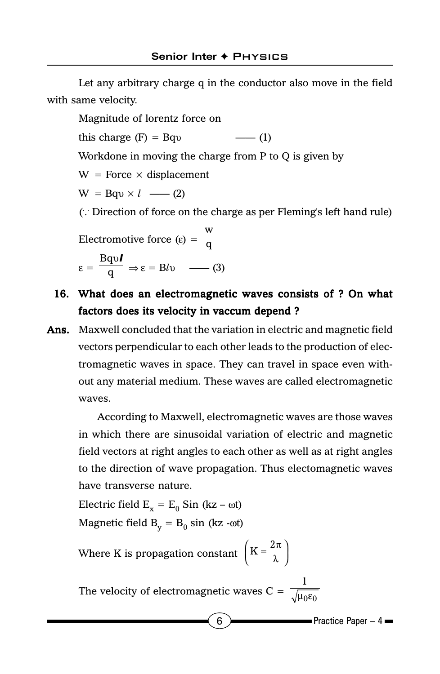Let any arbitrary charge q in the conductor also move in the field with same velocity.

Magnitude of lorentz force on this charge  $(F) = Bqv$  —— (1) Workdone in moving the charge from P to Q is given by  $W =$  Force  $\times$  displacement  $W = Bqv \times l \longrightarrow (2)$ ( . . . Direction of force on the charge as per Fleming's left hand rule) Electromotive force  $(\epsilon)$  = W q  $\varepsilon = \frac{\text{Bqv}}{\text{q}}$ l  $\Rightarrow \varepsilon = B/\nu \quad \longrightarrow (3)$ 

## 16. What does an electromagnetic waves consists of ? On what factors does its velocity in vaccum depend ?

Ans. Maxwell concluded that the variation in electric and magnetic field vectors perpendicular to each other leads to the production of electromagnetic waves in space. They can travel in space even without any material medium. These waves are called electromagnetic waves.

According to Maxwell, electromagnetic waves are those waves in which there are sinusoidal variation of electric and magnetic field vectors at right angles to each other as well as at right angles to the direction of wave propagation. Thus electomagnetic waves have transverse nature.

Electric field  $E_x = E_0$  Sin (kz – ωt) Magnetic field  $B_v = B_0 \sin(kz - \omega t)$ 

Where K is propagation constant  $\left(K = \frac{2\pi}{\lambda}\right)$ 

The velocity of electromagnetic waves C =  $\sqrt{\mu_0 \epsilon_0}$  $\mathbf 1$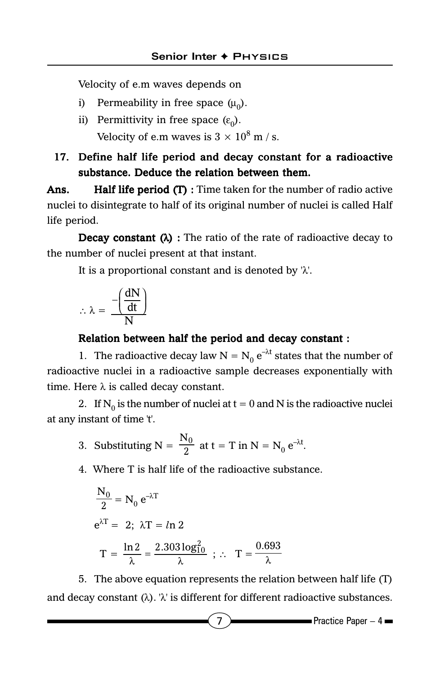Velocity of e.m waves depends on

- i) Permeability in free space  $(\mu_0)$ .
- ii) Permittivity in free space  $(\varepsilon_0)$ . Velocity of e.m waves is 3  $\times$   $10^8$  m / s.

## 17. Define half life period and decay constant for a radioactive substance. Deduce the relation between them.

Ans. **Half life period (T)**: Time taken for the number of radio active nuclei to disintegrate to half of its original number of nuclei is called Half life period.

**Decay constant (** $\lambda$ **)** : The ratio of the rate of radioactive decay to the number of nuclei present at that instant.

It is a proportional constant and is denoted by 'λ'.

$$
\therefore \, \lambda = \, \frac{-\! \left( \frac{dN}{dt} \right)}{N}
$$

#### Relation between half the period and decay constant :

1. The radioactive decay law  $N = N_0 e^{-\lambda t}$  states that the number of radioactive nuclei in a radioactive sample decreases exponentially with time. Here  $\lambda$  is called decay constant.

2. If N<sub>0</sub> is the number of nuclei at  $t = 0$  and N is the radioactive nuclei at any instant of time 't'.

- 3. Substituting  $N = \frac{N_0}{2}$  at  $t = T$  in  $N = N_0 e^{-\lambda t}$ .
- 4. Where T is half life of the radioactive substance.

$$
\frac{N_0}{2} = N_0 e^{-\lambda T}
$$
  
\n
$$
e^{\lambda T} = 2; \ \lambda T = \ln 2
$$
  
\n
$$
T = \frac{\ln 2}{\lambda} = \frac{2.303 \log_{10}^2}{\lambda} \ ; \therefore \ T = \frac{0.693}{\lambda}
$$

5. The above equation represents the relation between half life (T) and decay constant  $(\lambda)$ . ' $\lambda$ ' is different for different radioactive substances.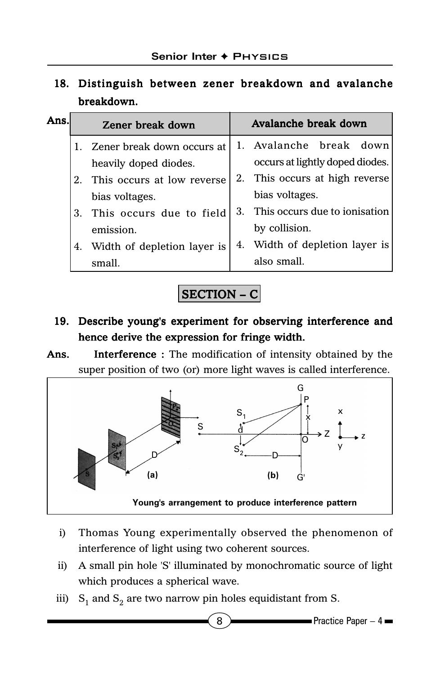# 18. Distinguish between zener breakdown and avalanche breakdown.

| Ans. |             | Zener break down               |         | Avalanche break down            |
|------|-------------|--------------------------------|---------|---------------------------------|
|      |             | Zener break down occurs at     |         | 1. Avalanche break down         |
|      |             | heavily doped diodes.          |         | occurs at lightly doped diodes. |
|      | $2^{\circ}$ | This occurs at low reverse     |         | 2. This occurs at high reverse  |
|      |             | bias voltages.                 |         | bias voltages.                  |
|      |             | 3. This occurs due to field    | $3_{-}$ | This occurs due to ionisation   |
|      |             | emission.                      |         | by collision.                   |
|      |             | 4. Width of depletion layer is |         | 4. Width of depletion layer is  |
|      |             | small.                         |         | also small.                     |



# 19. Describe young's experiment for observing interference and hence derive the expression for fringe width.

Ans. Interference: The modification of intensity obtained by the super position of two (or) more light waves is called interference.



- i) Thomas Young experimentally observed the phenomenon of interference of light using two coherent sources.
- ii) A small pin hole 'S' illuminated by monochromatic source of light which produces a spherical wave.
- iii)  $S_1$  and  $S_2$  are two narrow pin holes equidistant from S.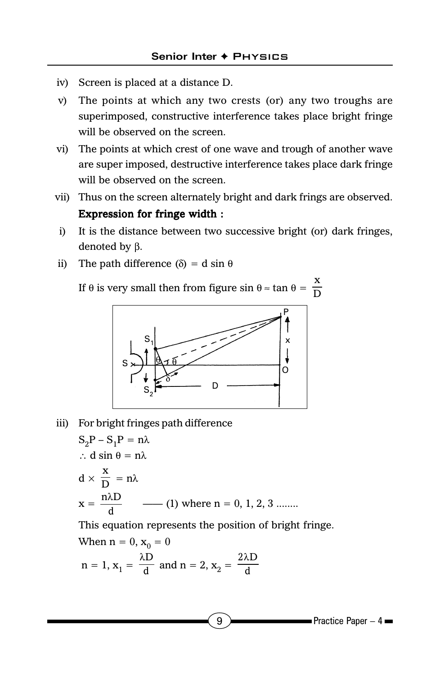- iv) Screen is placed at a distance D.
- v) The points at which any two crests (or) any two troughs are superimposed, constructive interference takes place bright fringe will be observed on the screen.
- vi) The points at which crest of one wave and trough of another wave are super imposed, destructive interference takes place dark fringe will be observed on the screen.
- vii) Thus on the screen alternately bright and dark frings are observed. Expression for fringe width :
- i) It is the distance between two successive bright (or) dark fringes, denoted by β.
- ii) The path difference (δ) = d sin θ

If  $\theta$  is very small then from figure sin  $\theta \approx \tan \theta = \frac{x}{D}$ 



iii) For bright fringes path difference

 $S_2P - S_1P = n\lambda$ ∴ d sin θ = nλ  $d \times \frac{x}{D} = n\lambda$ x = λ —— (1) where n = 0, 1, 2, 3 ........

This equation represents the position of bright fringe.

When n = 0, 
$$
x_0 = 0
$$
  
n = 1,  $x_1 = \frac{\lambda D}{d}$  and n = 2,  $x_2 = \frac{2\lambda D}{d}$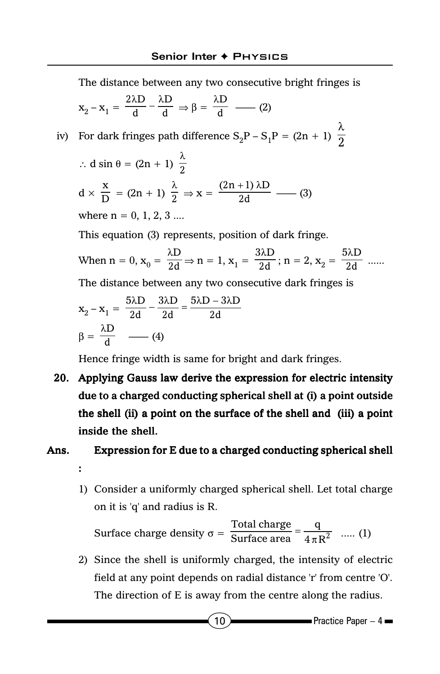The distance between any two consecutive bright fringes is

$$
x_2 - x_1 = \frac{2\lambda D}{d} - \frac{\lambda D}{d} \Rightarrow \beta = \frac{\lambda D}{d} \quad \text{--- (2)}
$$
  
iv) For dark fringes path difference  $S_2P - S_1P = (2n + 1) \frac{\lambda}{2}$   
 $\therefore d \sin \theta = (2n + 1) \frac{\lambda}{2}$   
 $d \times \frac{x}{D} = (2n + 1) \frac{\lambda}{2} \Rightarrow x = \frac{(2n + 1)\lambda D}{2d} \quad \text{--- (3)}$   
where n = 0, 1, 2, 3 ....  
This equation (3) represents, position of dark fringe.  
When n = 0,  $x_0 = \frac{\lambda D}{2d} \Rightarrow n = 1$ ,  $x_1 = \frac{3\lambda D}{2d}$ ; n = 2,  $x_2 = \frac{5\lambda D}{2d}$  ......  
The distance between any two consecutive dark fringes is  
 $x_2 - x_1 = \frac{5\lambda D}{2d} - \frac{3\lambda D}{2d} = \frac{5\lambda D - 3\lambda D}{2d}$ 

Hence fringe width is same for bright and dark fringes.

 $\beta = \frac{\lambda D}{d} \quad - (4)$ 

20. Applying Gauss law derive the expression for electric intensity due to a charged conducting spherical shell at (i) a point outside the shell (ii) a point on the surface of the shell and (iii) a point inside the shell.

## Ans. Expression for E due to a charged conducting spherical shell :

1) Consider a uniformly charged spherical shell. Let total charge on it is 'q' and radius is R.

Surface charge density 
$$
\sigma = \frac{\text{Total charge}}{\text{Surface area}} = \frac{q}{4\pi R^2}
$$
 ..... (1)

2) Since the shell is uniformly charged, the intensity of electric field at any point depends on radial distance 'r' from centre 'O'. The direction of E is away from the centre along the radius.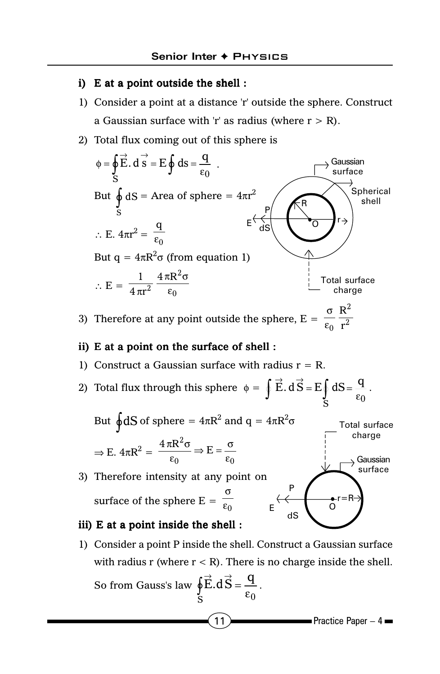#### i) E at a point outside the shell :

- 1) Consider a point at a distance 'r' outside the sphere. Construct a Gaussian surface with 'r' as radius (where  $r > R$ ).
- 2) Total flux coming out of this sphere is



3) Therefore at any point outside the sphere,  $E = \frac{\sigma}{\sigma}$ ε  $0 \text{ } \mathbf{r}^2$ R &

#### ii) E at a point on the surface of shell :

- 1) Construct a Gaussian surface with radius  $r = R$ .
- 2) Total flux through this sphere  $\phi =$  $\int_{S}$   $\epsilon_0$  $\oint \vec{E} \cdot d\vec{S} = E \oint dS = \frac{q}{\epsilon_0}$ .



#### iii) E at a point inside the shell :

1) Consider a point P inside the shell. Construct a Gaussian surface with radius r (where  $r < R$ ). There is no charge inside the shell.  $\rightarrow$ 

So from Gauss's law 
$$
\oint_{S} \vec{E} \cdot d\vec{S} = \frac{q}{\epsilon_0}.
$$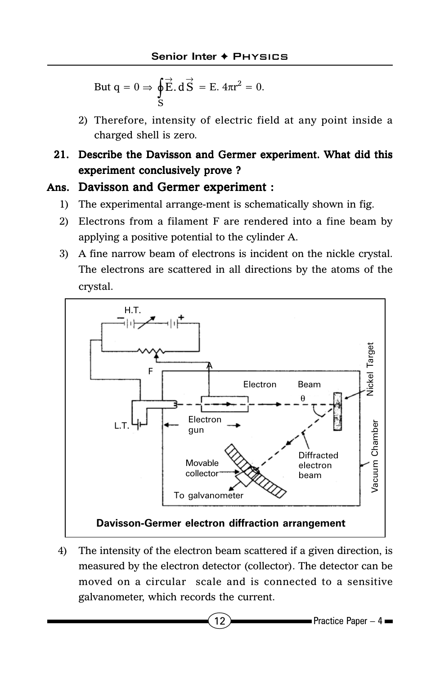But 
$$
q = 0 \Rightarrow \oint_{S} \vec{E} \cdot d\vec{S} = E \cdot 4\pi r^{2} = 0.
$$

2) Therefore, intensity of electric field at any point inside a charged shell is zero.

## 21. Describe the Davisson and Germer experiment. What did this experiment conclusively prove ?

## Ans. Davisson and Germer experiment :

- 1) The experimental arrange-ment is schematically shown in fig.
- 2) Electrons from a filament F are rendered into a fine beam by applying a positive potential to the cylinder A.
- 3) A fine narrow beam of electrons is incident on the nickle crystal. The electrons are scattered in all directions by the atoms of the crystal.



4) The intensity of the electron beam scattered if a given direction, is measured by the electron detector (collector). The detector can be moved on a circular scale and is connected to a sensitive galvanometer, which records the current.